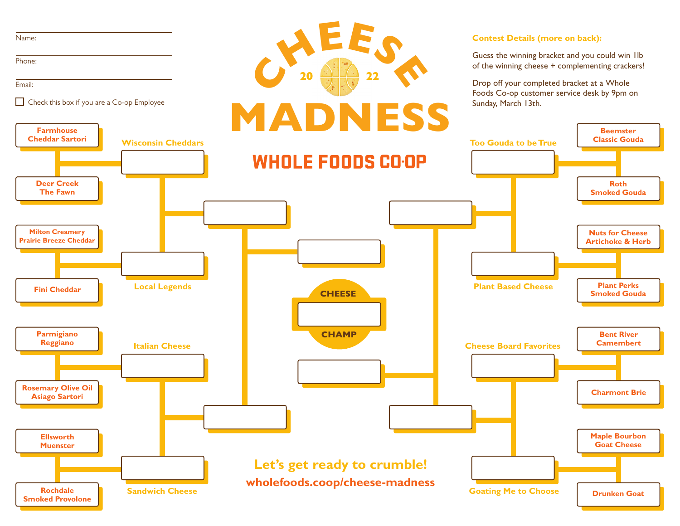